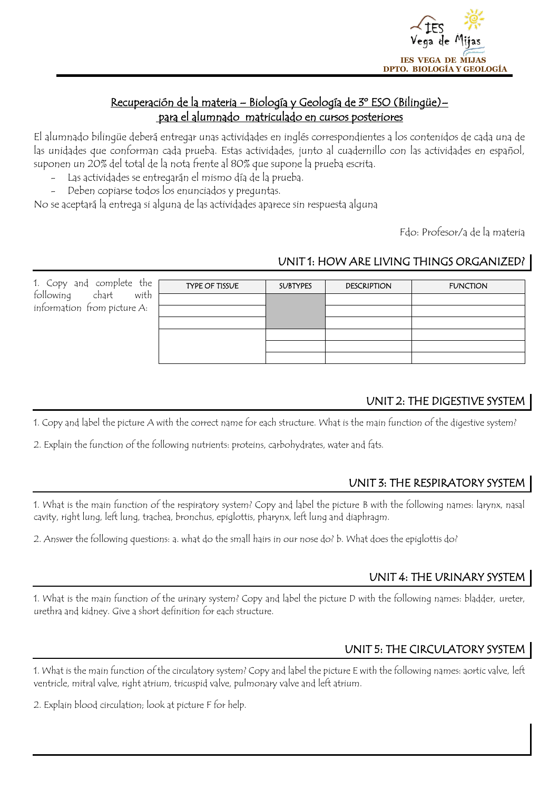

#### Recuperación de la materia – Biología y Geología de 3º ESO (Bilingüe)– para el alumnado matriculado en cursos posteriores

 $\overline{a}$ 

El alumnado bilingüe deberá entregar unas actividades en inglés correspondientes a los contenidos de cada una de las unidades que conforman cada prueba. Estas actividades, junto al cuadernillo con las actividades en español, suponen un 20% del total de la nota frente al 80% que supone la prueba escrita.

- Las actividades se entregarán el mismo día de la prueba.
- Deben copiarse todos los enunciados y preguntas.

No se aceptará la entrega si alguna de las actividades aparece sin respuesta alguna

Fdo: Profesor/a de la materia

#### UNIT 1: HOW ARE LIVING THINGS ORGANIZED?

1. Copy and complete the following chart with information from picture A:

| 7e | TYPE OF TISSUE | <b>SUBTYPES</b> | <b>DESCRIPTION</b> | <b>FUNCTION</b> |
|----|----------------|-----------------|--------------------|-----------------|
| th |                |                 |                    |                 |
| ÷  |                |                 |                    |                 |
|    |                |                 |                    |                 |
|    |                |                 |                    |                 |
|    |                |                 |                    |                 |
|    |                |                 |                    |                 |
|    |                |                 |                    |                 |

# UNIT 2: THE DIGESTIVE SYSTEM

1. Copy and label the picture A with the correct name for each structure. What is the main function of the digestive system?

2. Explain the function of the following nutrients: proteins, carbohydrates, water and fats.

#### UNIT 3: THE RESPIRATORY SYSTEM

1. What is the main function of the respiratory system? Copy and label the picture B with the following names: larynx, nasal cavity, right lung, left lung, trachea, bronchus, epiglottis, pharynx, left lung and diaphragm.

2. Answer the following questions: a. what do the small hairs in our nose do? b. What does the epiglottis do?

# UNIT 4: THE URINARY SYSTEM

1. What is the main function of the urinary system? Copy and label the picture D with the following names: bladder, ureter, urethra and kidney. Give a short definition for each structure.

# UNIT 5: THE CIRCULATORY SYSTEM

1. What is the main function of the circulatory system? Copy and label the picture E with the following names: aortic valve, left ventricle, mitral valve, right atrium, tricuspid valve, pulmonary valve and left atrium.

2. Explain blood circulation; look at picture F for help.